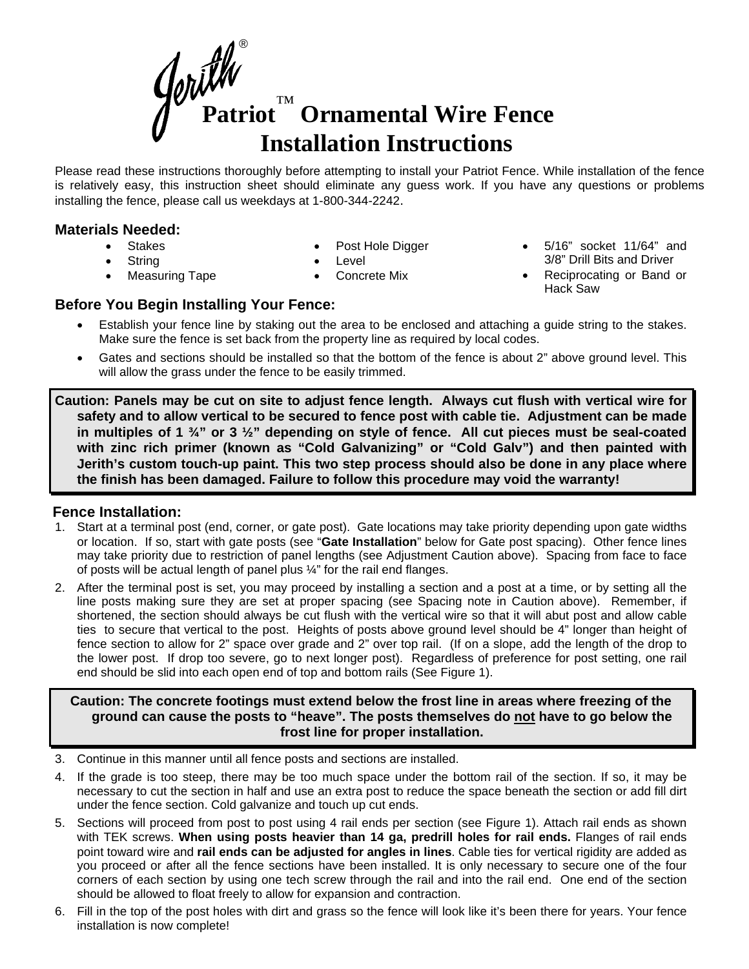**Patriot** ™  **Ornamental Wire Fence Installation Instructions** ®

Please read these instructions thoroughly before attempting to install your Patriot Fence. While installation of the fence is relatively easy, this instruction sheet should eliminate any guess work. If you have any questions or problems installing the fence, please call us weekdays at 1-800-344-2242.

## **Materials Needed:**

• Stakes

**String** 

- Post Hole Digger
- Level
- Concrete Mix
- 5/16" socket 11/64" and 3/8" Drill Bits and Driver
- Reciprocating or Band or Hack Saw

## **Before You Begin Installing Your Fence:**

• Measuring Tape

- Establish your fence line by staking out the area to be enclosed and attaching a guide string to the stakes. Make sure the fence is set back from the property line as required by local codes.
- Gates and sections should be installed so that the bottom of the fence is about 2" above ground level. This will allow the grass under the fence to be easily trimmed.

**Caution: Panels may be cut on site to adjust fence length. Always cut flush with vertical wire for safety and to allow vertical to be secured to fence post with cable tie. Adjustment can be made in multiples of 1 ¾" or 3 ½" depending on style of fence. All cut pieces must be seal-coated with zinc rich primer (known as "Cold Galvanizing" or "Cold Galv") and then painted with Jerith's custom touch-up paint. This two step process should also be done in any place where the finish has been damaged. Failure to follow this procedure may void the warranty!** 

# **Fence Installation:**

- 1. Start at a terminal post (end, corner, or gate post). Gate locations may take priority depending upon gate widths or location. If so, start with gate posts (see "**Gate Installation**" below for Gate post spacing). Other fence lines may take priority due to restriction of panel lengths (see Adjustment Caution above). Spacing from face to face of posts will be actual length of panel plus ¼" for the rail end flanges.
- 2. After the terminal post is set, you may proceed by installing a section and a post at a time, or by setting all the line posts making sure they are set at proper spacing (see Spacing note in Caution above). Remember, if shortened, the section should always be cut flush with the vertical wire so that it will abut post and allow cable ties to secure that vertical to the post. Heights of posts above ground level should be 4" longer than height of fence section to allow for 2" space over grade and 2" over top rail. (If on a slope, add the length of the drop to the lower post. If drop too severe, go to next longer post). Regardless of preference for post setting, one rail end should be slid into each open end of top and bottom rails (See Figure 1).

**Caution: The concrete footings must extend below the frost line in areas where freezing of the ground can cause the posts to "heave". The posts themselves do not have to go below the frost line for proper installation.** 

- 3. Continue in this manner until all fence posts and sections are installed.
- 4. If the grade is too steep, there may be too much space under the bottom rail of the section. If so, it may be necessary to cut the section in half and use an extra post to reduce the space beneath the section or add fill dirt under the fence section. Cold galvanize and touch up cut ends.
- 5. Sections will proceed from post to post using 4 rail ends per section (see Figure 1). Attach rail ends as shown with TEK screws. **When using posts heavier than 14 ga, predrill holes for rail ends.** Flanges of rail ends point toward wire and **rail ends can be adjusted for angles in lines**. Cable ties for vertical rigidity are added as you proceed or after all the fence sections have been installed. It is only necessary to secure one of the four corners of each section by using one tech screw through the rail and into the rail end. One end of the section should be allowed to float freely to allow for expansion and contraction.
- 6. Fill in the top of the post holes with dirt and grass so the fence will look like it's been there for years. Your fence installation is now complete!